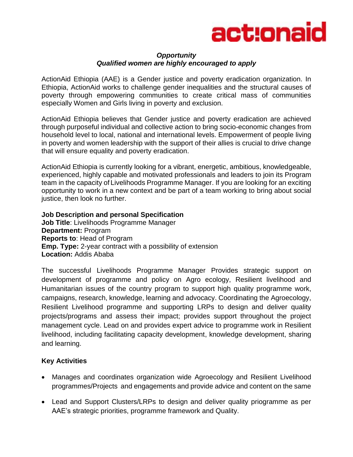

## *Opportunity Qualified women are highly encouraged to apply*

ActionAid Ethiopia (AAE) is a Gender justice and poverty eradication organization. In Ethiopia, ActionAid works to challenge gender inequalities and the structural causes of poverty through empowering communities to create critical mass of communities especially Women and Girls living in poverty and exclusion.

ActionAid Ethiopia believes that Gender justice and poverty eradication are achieved through purposeful individual and collective action to bring socio-economic changes from household level to local, national and international levels. Empowerment of people living in poverty and women leadership with the support of their allies is crucial to drive change that will ensure equality and poverty eradication.

ActionAid Ethiopia is currently looking for a vibrant, energetic, ambitious, knowledgeable, experienced, highly capable and motivated professionals and leaders to join its Program team in the capacity of Livelihoods Programme Manager. If you are looking for an exciting opportunity to work in a new context and be part of a team working to bring about social justice, then look no further.

**Job Description and personal Specification Job Title**: Livelihoods Programme Manager **Department:** Program **Reports to**: Head of Program **Emp. Type:** 2-year contract with a possibility of extension **Location:** Addis Ababa

The successful Livelihoods Programme Manager Provides strategic support on development of programme and policy on Agro ecology, Resilient livelihood and Humanitarian issues of the country program to support high quality programme work, campaigns, research, knowledge, learning and advocacy. Coordinating the Agroecology, Resilient Livelihood programme and supporting LRPs to design and deliver quality projects/programs and assess their impact; provides support throughout the project management cycle. Lead on and provides expert advice to programme work in Resilient livelihood, including facilitating capacity development, knowledge development, sharing and learning.

# **Key Activities**

- Manages and coordinates organization wide Agroecology and Resilient Livelihood programmes/Projects and engagements and provide advice and content on the same
- Lead and Support Clusters/LRPs to design and deliver quality priogramme as per AAE's strategic priorities, programme framework and Quality.